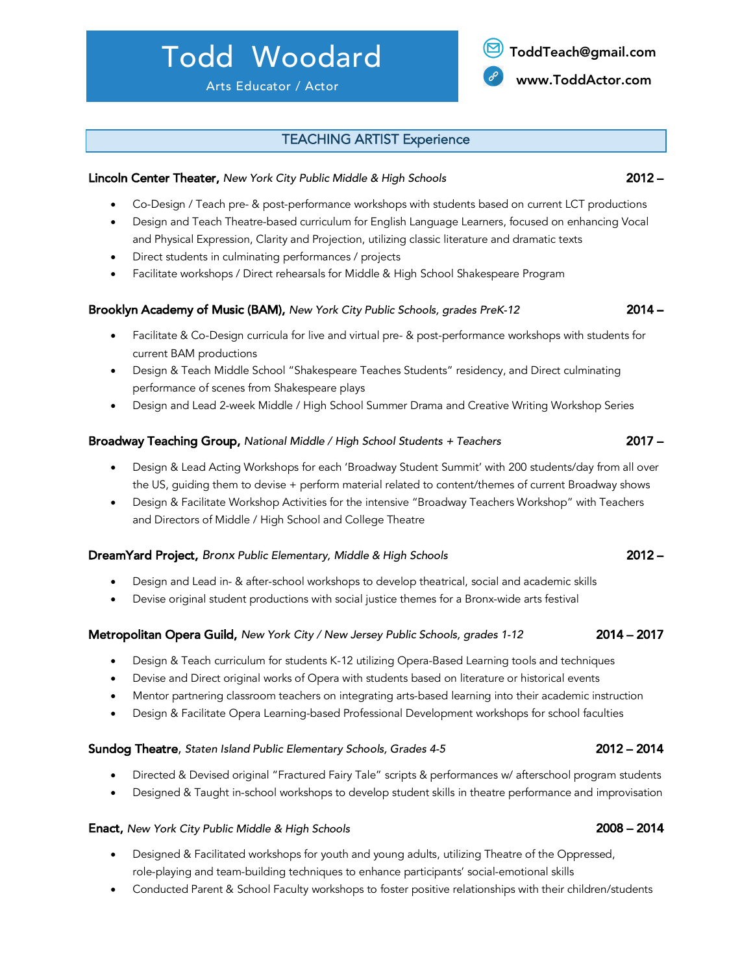# Todd Woodard

### TEACHING ARTIST Experience

#### Lincoln Center Theater, *New York City Public Middle & High Schools* 2012 –

- Co-Design / Teach pre- & post-performance workshops with students based on current LCT productions
- Design and Teach Theatre-based curriculum for English Language Learners, focused on enhancing Vocal and Physical Expression, Clarity and Projection, utilizing classic literature and dramatic texts
- Direct students in culminating performances / projects
- Facilitate workshops / Direct rehearsals for Middle & High School Shakespeare Program

#### Brooklyn Academy of Music (BAM), *New York City Public Schools, grades PreK-12* 2014 –

- Facilitate & Co-Design curricula for live and virtual pre- & post-performance workshops with students for current BAM productions
- Design & Teach Middle School "Shakespeare Teaches Students" residency, and Direct culminating performance of scenes from Shakespeare plays
- Design and Lead 2-week Middle / High School Summer Drama and Creative Writing Workshop Series

#### Broadway Teaching Group, *National Middle / High School Students + Teachers* 2017 –

- Design & Lead Acting Workshops for each 'Broadway Student Summit' with 200 students/day from all over the US, guiding them to devise + perform material related to content/themes of current Broadway shows
- Design & Facilitate Workshop Activities for the intensive "Broadway Teachers Workshop" with Teachers and Directors of Middle / High School and College Theatre

#### DreamYard Project, *Bronx Public Elementary, Middle & High Schools* 2012 –

- Design and Lead in- & after-school workshops to develop theatrical, social and academic skills
- Devise original student productions with social justice themes for a Bronx-wide arts festival

#### Metropolitan Opera Guild, *New York City / New Jersey Public Schools, grades 1-12* 2014 – 2017

- Design & Teach curriculum for students K-12 utilizing Opera-Based Learning tools and techniques
- Devise and Direct original works of Opera with students based on literature or historical events
- Mentor partnering classroom teachers on integrating arts-based learning into their academic instruction
- Design & Facilitate Opera Learning-based Professional Development workshops for school faculties

#### Sundog Theatre, *Staten Island Public Elementary Schools, Grades 4-5* 2012 – 2014

- Directed & Devised original "Fractured Fairy Tale" scripts & performances w/ afterschool program students
- Designed & Taught in-school workshops to develop student skills in theatre performance and improvisation

#### Enact, *New York City Public Middle & High Schools* 2008 – 2014

- Designed & Facilitated workshops for youth and young adults, utilizing Theatre of the Oppressed, role-playing and team-building techniques to enhance participants' social-emotional skills
- Conducted Parent & School Faculty workshops to foster positive relationships with their children/students